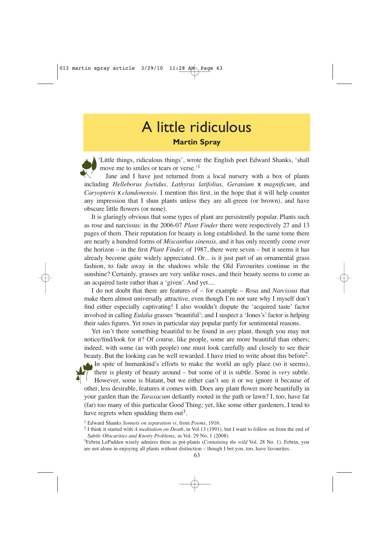## A little ridiculous **Martin Spray**

'Little things, ridiculous things', wrote the English poet Edward Shanks, 'shall move me to smiles or tears or verse.'1

Jane and I have just returned from a local nursery with a box of plants including *Helleborus foetidus, Lathyrus latifolius, Geranium* x *magnificum,* and *Caryopteris* x *clandonensis.* I mention this first, in the hope that it will help counter any impression that I shun plants unless they are all-green (or brown), and have obscure little flowers (or none).

It is glaringly obvious that some types of plant are persistently popular. Plants such as rose and narcissus: in the 2006-07 *Plant Finder* there were respectively 27 and 13 pages of them. Their reputation for beauty is long established. In the same tome there are nearly a hundred forms of *Miscanthus sinensis,* and it has only recently come over the horizon – in the first *Plant Finder,* of 1987, there were seven – but it seems it has already become quite widely appreciated. Or... is it just part of an ornamental grass fashion, to fade away in the shadows while the Old Favourites continue in the sunshine? Certainly, grasses are very unlike roses, and their beauty seems to come as an acquired taste rather than a 'given'. And yet....

I do not doubt that there are features of – for example – *Rosa* and *Narcissus* that make them almost universally attractive, even though I'm not sure why I myself don't find either especially captivating! I also wouldn't dispute the 'acquired taste' factor involved in calling *Eulalia* grasses 'beautiful'; and I suspect a 'Jones's' factor is helping their sales figures. Yet roses in particular stay popular partly for sentimental reasons.

Yet isn't there something beautiful to be found in *any* plant, though you may not notice/find/look for it? Of course, like people, some are more beautiful than others; indeed, with some (as with people) one must look carefully and closely to see their beauty. But the looking can be well rewarded. I have tried to write about this before<sup>2</sup>. In spite of humankind's efforts to make the world an ugly place (so it seems), there is plenty of beauty around – but some of it is subtle. Some is *very* subtle. However, some is blatant, but we either can't see it or we ignore it because of other, less desirable, features it comes with. Does any plant flower more beautifully in your garden than the *Taraxacum* defiantly rooted in the path or lawn? I, too, have far (far) too many of this particular Good Thing; yet, like some other gardeners, I tend to have regrets when spudding them out<sup>3</sup>.

<sup>&</sup>lt;sup>1</sup> Edward Shanks *Sonnets on separation vi*, from *Poems*, 1916.<br><sup>2</sup> I think it started with *A meditation on Death*, in Vol.13 (1991), but I want to follow on from the end of *Subtle Obscurities and Knotty Problems*, in Vol. 29 No. 1 (2008).

<sup>3</sup> Febrin LePadden wisely admires them as pot-plants (*Containing the wild* Vol. 28 No. 1). Febrin, you are not alone in enjoying all plants without distinction – though I bet you, too, have favourites.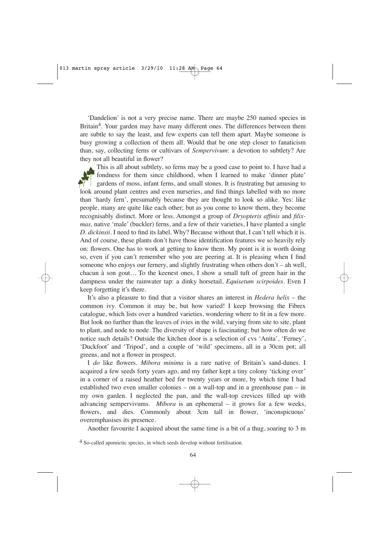'Dandelion' is not a very precise name. There are maybe 250 named species in Britain<sup>4</sup>. Your garden may have many different ones. The differences between them are subtle to say the least, and few experts can tell them apart. Maybe someone is busy growing a collection of them all. Would that be one step closer to fanaticism than, say, collecting ferns or cultivars of *Sempervivum*: a devotion to subtlety? Are they not all beautiful in flower?

This is all about subtlety, so ferns may be a good case to point to. I have had a fondness for them since childhood, when I learned to make 'dinner plate'  $\frac{1}{2}$  gardens of moss, infant ferns, and small stones. It is frustrating but amusing to look around plant centres and even nurseries, and find things labelled with no more than 'hardy fern', presumably because they are thought to look so alike. Yes: like people, many are quite like each other; but as you come to know them, they become recognisably distinct. More or less. Amongst a group of *Dryopteris affinis* and *filixmas,* native 'male' (buckler) ferns, and a few of their varieties, I have planted a single *D. dickinsii.* I need to find its label. Why? Because without that, I can't tell which it is. And of course, these plants don't have those identification features we so heavily rely on: flowers. One has to work at getting to know them. My point is it is worth doing so, even if you can't remember who you are peering at. It is pleasing when I find someone who enjoys our fernery, and slightly frustrating when others don't – ah well, chacun à son gout*…* To the keenest ones, I show a small tuft of green hair in the dampness under the rainwater tap: a dinky horsetail, *Equisetum scirpoides.* Even I keep forgetting it's there.

It's also a pleasure to find that a visitor shares an interest in *Hedera helix* – the common ivy. Common it may be, but how varied! I keep browsing the Fibrex catalogue, which lists over a hundred varieties, wondering where to fit in a few more. But look no further than the leaves of ivies in the wild, varying from site to site, plant to plant, and node to node. The diversity of shape is fascinating; but how often do we notice such details? Outside the kitchen door is a selection of cvs 'Anita', 'Ferney', 'Duckfoot' and 'Tripod', and a couple of 'wild' specimens, all in a 30cm pot; all greens, and not a flower in prospect.

I *do* like flowers. *Mibora minima* is a rare native of Britain's sand-dunes. I acquired a few seeds forty years ago, and my father kept a tiny colony 'ticking over' in a corner of a raised heather bed for twenty years or more, by which time I had established two even smaller colonies – on a wall-top and in a greenhouse pan – in my own garden. I neglected the pan, and the wall-top crevices filled up with advancing sempervivums. *Mibora* is an ephemeral – it grows for a few weeks, flowers, and dies. Commonly about 3cm tall in flower, 'inconspicuous' overemphasises its presence.

Another favourite I acquired about the same time is a bit of a thug, soaring to 3 m

<sup>&</sup>lt;sup>4</sup> So-called apomictic species, in which seeds develop without fertilisation.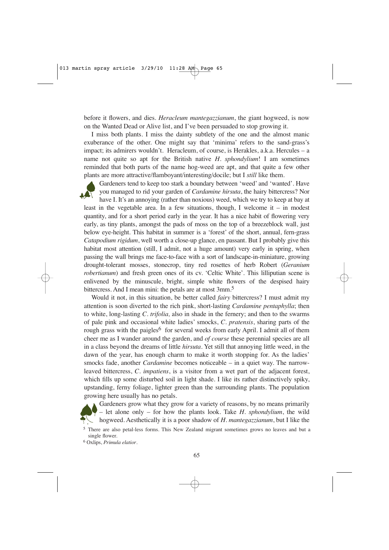before it flowers, and dies. *Heracleum mantegazzianum*, the giant hogweed, is now on the Wanted Dead or Alive list, and I've been persuaded to stop growing it.

I miss both plants. I miss the dainty subtlety of the one and the almost manic exuberance of the other. One might say that 'minima' refers to the sand-grass's impact; its admirers wouldn't. Heracleum, of course, is Herakles, a.k.a. Hercules – a name not quite so apt for the British native *H. sphondylium*! I am sometimes reminded that both parts of the name hog-weed are apt, and that quite a few other plants are more attractive/flamboyant/interesting/docile; but I *still* like them.



Gardeners tend to keep too stark a boundary between 'weed' and 'wanted'. Have you managed to rid your garden of *Cardamine hirsuta*, the hairy bittercress? Nor

have I. It's an annoying (rather than noxious) weed, which we try to keep at bay at least in the vegetable area. In a few situations, though, I welcome it – in modest quantity, and for a short period early in the year. It has a nice habit of flowering very early, as tiny plants, amongst the pads of moss on the top of a breezeblock wall, just below eye-height. This habitat in summer is a 'forest' of the short, annual, fern-grass *Catapodium rigidum*, well worth a close-up glance, en passant. But I probably give this habitat most attention (still, I admit, not a huge amount) very early in spring, when passing the wall brings me face-to-face with a sort of landscape-in-miniature, growing drought-tolerant mosses, stonecrop, tiny red rosettes of herb Robert (*Geranium robertianum*) and fresh green ones of its cv. 'Celtic White'. This lilliputian scene is enlivened by the minuscule, bright, simple white flowers of the despised hairy bittercress. And I mean mini: the petals are at most 3mm.<sup>5</sup>

Would it not, in this situation, be better called *fairy* bittercress? I must admit my attention is soon diverted to the rich pink, short-lasting *Cardamine pentaphylla*; then to white, long-lasting *C. trifolia,* also in shade in the fernery; and then to the swarms of pale pink and occasional white ladies' smocks, *C. pratensis*, sharing parts of the rough grass with the paigles<sup>6</sup> for several weeks from early April. I admit all of them cheer me as I wander around the garden, and *of course* these perennial species are all in a class beyond the dreams of little *hirsuta*. Yet still that annoying little weed, in the dawn of the year, has enough charm to make it worth stopping for. As the ladies' smocks fade, another *Cardamine* becomes noticeable – in a quiet way. The narrowleaved bittercress, *C. impatiens*, is a visitor from a wet part of the adjacent forest, which fills up some disturbed soil in light shade. I like its rather distinctively spiky, upstanding, ferny foliage, lighter green than the surrounding plants. The population growing here usually has no petals.



Gardeners grow what they grow for a variety of reasons, by no means primarily – let alone only – for how the plants look. Take *H. sphondylium*, the wild hogweed. Aesthetically it is a poor shadow of *H. mantegazzianum*, but I like the

<sup>6</sup> Oxlips, *Primula elatior*.

<sup>5</sup> There are also petal-less forms. This New Zealand migrant sometimes grows no leaves and but a single flower.